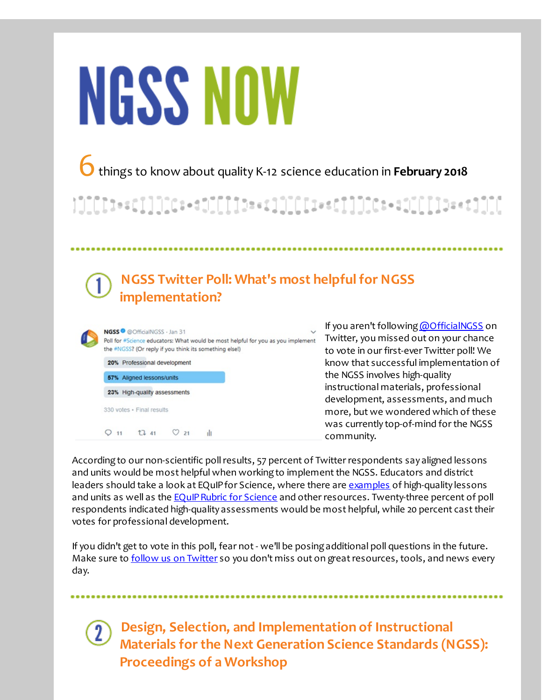# **NGSS NOW**

6things to know about quality K-12 science education in **February <sup>2018</sup>**

|]][[[]+c[]]]][[+c]][[[[]+c]][[[[+c[]]]][[t+c][[[[]+c1][[

# **NGSS Twitter Poll: What's most helpfulfor NGSS implementation?**

|  | NGSS <sup>®</sup> @OfficialNGSS · Jan 31<br>Poll for #Science educators: What would be most helpful for you as you implen<br>the #NGSS? (Or reply if you think its something else!) |
|--|-------------------------------------------------------------------------------------------------------------------------------------------------------------------------------------|
|  | 20% Professional development                                                                                                                                                        |
|  | 57% Aligned lessons/units                                                                                                                                                           |
|  | 23% High-quality assessments                                                                                                                                                        |
|  | 330 votes · Final results                                                                                                                                                           |
|  | 17.41<br>21                                                                                                                                                                         |

If you aren't following [@OfficialNGSS](http://r20.rs6.net/tn.jsp?f=001H9lyJkDwHi6VA2B8omrlChKB3-StlEcZ2rwEsc2koP_V_qKfOX6TcqJodUOHX_lVfk-qiizv4acCW-7UV4rPF-kPgEXeh_y5qggvN_UYy0V-1wy1kP6Ze0qUBIORZYyBGfu6A5jWr6-LRz8tptzi5emDa2sNoSF6-ydE9376jax2PRjq_Fxjpg==&c=&ch=) on <sub>nent</sub> Twitter, you missed out on your chance to vote in our first-ever Twitter poll! We know that successful implementation of the NGSS involves high-quality instructional materials, professional development, assessments, and much more, but we wondered which of these was currently top-of-mind for the NGSS community.

According to our non-scientific poll results, 57 percent of Twitter respondents say aligned lessons and units would be most helpful when working to implement the NGSS. Educators and district leaders should take a look at EQuIP for Science, where there are [examples](http://r20.rs6.net/tn.jsp?f=001H9lyJkDwHi6VA2B8omrlChKB3-StlEcZ2rwEsc2koP_V_qKfOX6TctLWmuvVim0FzN8FzrKn22eZ4xePwBUv50ko3qOpNF9ZoZTblhVEt8V9j1cCTRPacHy9c_oVr2lOsdG6o93V0tJC-15FXCi7Qi9WNmSQAl6PL0cY--R9GKrORpyKzUje0MxiE0TxVcMBBCk3q-mMrzk-Ya3ruphr4KgN6r0jwRPoKMR_1-xhObs=&c=&ch=) of high-quality lessons and units as well as the EQuIP Rubric for Science and other resources. Twenty-three percent of poll respondents indicated high-quality assessments would be most helpful, while 20 percent casttheir votes for professional development.

If you didn't get to vote in this poll, fear not - we'll be posing additional poll questions in the future. Make sure to follow us on [Twitter](http://r20.rs6.net/tn.jsp?f=001H9lyJkDwHi6VA2B8omrlChKB3-StlEcZ2rwEsc2koP_V_qKfOX6TcqJodUOHX_lVfk-qiizv4acCW-7UV4rPF-kPgEXeh_y5qggvN_UYy0V-1wy1kP6Ze0qUBIORZYyBGfu6A5jWr6-LRz8tptzi5emDa2sNoSF6-ydE9376jax2PRjq_Fxjpg==&c=&ch=) so you don't miss out on great resources, tools, and news every day.

**Design, Selection, and Implementation of Instructional Materials forthe Next Generation Science Standards (NGSS): Proceedings of a Workshop**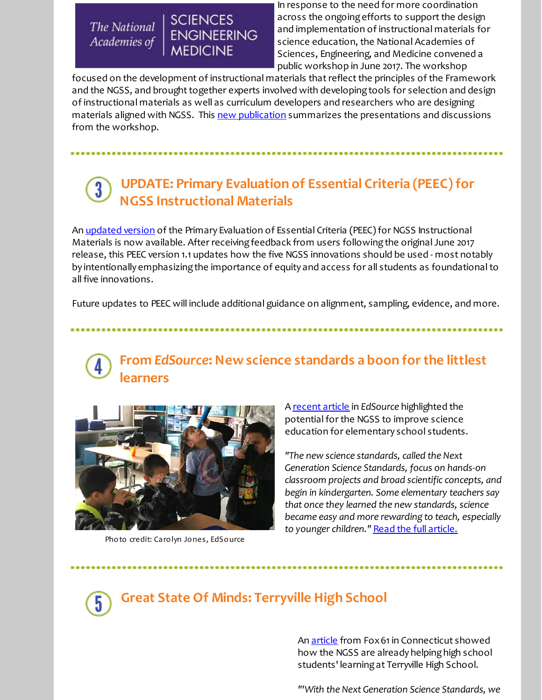The National Academies of

**SCIENCES** 

**MEDICINE** 

**ENGINEERING** 

In response to the need for more coordination across the ongoing efforts to support the design and implementation of instructional materials for science education, the National Academies of Sciences, Engineering, and Medicine convened a public workshop in June 2017. The workshop

focused on the development of instructional materials that reflect the principles of the Framework and the NGSS, and brought together experts involved with developing tools for selection and design of instructional materials as well as curriculum developers and researchers who are designing materials aligned with NGSS. This new [publication](http://r20.rs6.net/tn.jsp?f=001H9lyJkDwHi6VA2B8omrlChKB3-StlEcZ2rwEsc2koP_V_qKfOX6Tck2etg9JhA3KRAUzAKFCw0N1H_BhgQAtU-xgAY7xH4JsSs7eypBjtoEOfqKvds5pCYz-S5-kgRZJ-x7i2bBtJmllujrMdNTG7DR2bPMRAYH3sltu96PASqgj1gKMx1oD3z2g41Hyzf0CvLFtO3JlskppKlr1NjxaJ1_MVIqf4Usj-HV7MDxqqUR4g9mSVSRFIH16NKinQnZslKeiU8-XtzaJeXPs6W1_f6BsdWJZ8TKx&c=&ch=) summarizes the presentations and discussions from the workshop.

## **UPDATE: Primary Evaluation of Essential Criteria (PEEC)for NGSS Instructional Materials**

An [updated](http://r20.rs6.net/tn.jsp?f=001H9lyJkDwHi6VA2B8omrlChKB3-StlEcZ2rwEsc2koP_V_qKfOX6TcshkA_kur5mNrdnbzWF5E97xtssHcHt7wOii4m7AbcAImWFczNYxX1NUv0LcG7AI-67C7aJMcVERoyZJ48ViutqhKVZVeaL_fG6O0ZH7OLLdBRzrFYemZiaTbdSJwEg_CAa3LX4IClCY&c=&ch=) version of the Primary Evaluation of Essential Criteria (PEEC) for NGSS Instructional Materials is now available. After receiving feedback from users following the original June 2017 release, this PEEC version 1.1 updates how the five NGSS innovations should be used - most notably by intentionally emphasizing the importance of equity and access for all students as foundational to all five innovations.

Future updates to PEEC will include additional guidance on alignment, sampling, evidence, and more.

### **From** *EdSource***: New science standards a boon forthe littlest learners**



Photo credit: Carolyn Jones, EdSource

A [recent](http://r20.rs6.net/tn.jsp?f=001H9lyJkDwHi6VA2B8omrlChKB3-StlEcZ2rwEsc2koP_V_qKfOX6Tck2etg9JhA3K0LQ8F6fR4V-n8HoAxP7STyxYWYwe49RrBm8ARcwoSc-2nBzGLIzK7VJDkcWxyoXm3eBUfvfwY2qLeCdQozYUFbPvCrh-CcRGfxSJxjSlQq1j_5uid5hv-gKhMYqfqZuQchhvHRaTBUSUNviYhRz2a6iU-l6kso0ShOu1_tsP2gwe3pcw84_3E46CDPmZKG_T5gqxY5b3OHg=&c=&ch=) article in *EdSource* highlighted the potential for the NGSS to improve science education for elementary school students.

*"The new science standards, called the Next Generation Science Standards, focus on hands-on classroom projects and broad scientific concepts, and begin in kindergarten. Some elementary teachers say that once they learned the new standards, science became easy and more rewarding to teach, especially to younger children."* Read the full [article.](http://r20.rs6.net/tn.jsp?f=001H9lyJkDwHi6VA2B8omrlChKB3-StlEcZ2rwEsc2koP_V_qKfOX6Tck2etg9JhA3K0LQ8F6fR4V-n8HoAxP7STyxYWYwe49RrBm8ARcwoSc-2nBzGLIzK7VJDkcWxyoXm3eBUfvfwY2qLeCdQozYUFbPvCrh-CcRGfxSJxjSlQq1j_5uid5hv-gKhMYqfqZuQchhvHRaTBUSUNviYhRz2a6iU-l6kso0ShOu1_tsP2gwe3pcw84_3E46CDPmZKG_T5gqxY5b3OHg=&c=&ch=)



### **Great State Of Minds: Terryville High School**

An [article](http://r20.rs6.net/tn.jsp?f=001H9lyJkDwHi6VA2B8omrlChKB3-StlEcZ2rwEsc2koP_V_qKfOX6Tck2etg9JhA3KqWcPK7571fSb-ZOFuIdLQZnmepnkl7FUWWNSKSZYY6-EK2ULBAnPMYGBY5oEzyAwktgCtN2FOs5EtuZYd_S362S8fRzh0tFRrybD5CffNUZ7tbK2geMfsGCG1NyWfGu8T7l1khVA2pxTmsQsS4ANGkzwbhgES4N9xDCD84hri7-36AsyS3WPjA==&c=&ch=) from Fox 61 in Connecticut showed how the NGSS are already helping high school students' learningat Terryville High School.

*"'With the Next Generation Science Standards, we*